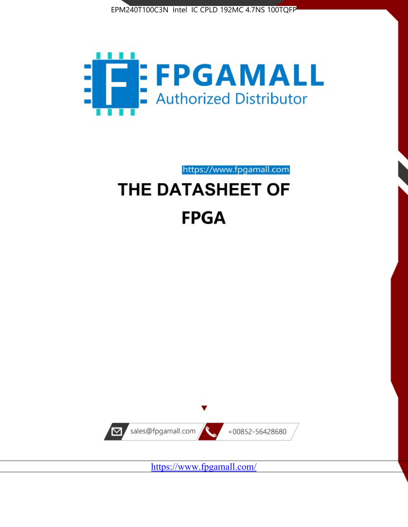



https://www.fpgamall.com

# THE DATASHEET OF **FPGA**



https://www.fpgamall.com/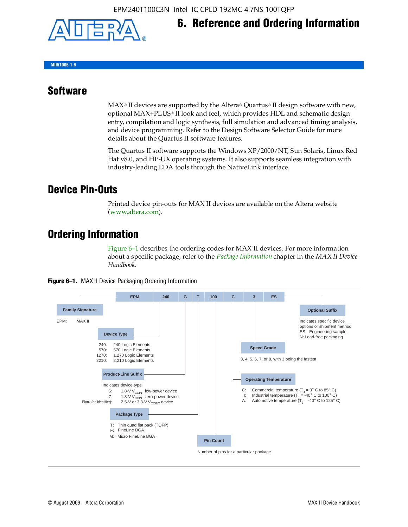

## **6. Reference and Ordering Information**

**MII51006-1.6**

#### **Software**

 $MAX<sup>®</sup>$  II devices are supported by the Altera® Quartus<sup>®</sup> II design software with new, optional MAX+PLUS® II look and feel, which provides HDL and schematic design entry, compilation and logic synthesis, full simulation and advanced timing analysis, and device programming. Refer to the Design Software Selector Guide for more details about the Quartus II software features.

The Quartus II software supports the Windows XP/2000/NT, Sun Solaris, Linux Red Hat v8.0, and HP-UX operating systems. It also supports seamless integration with industry-leading EDA tools through the NativeLink interface.

#### **Device Pin-Outs**

Printed device pin-outs for MAX II devices are available on the Altera website ([www.altera.com](http://www.altera.com/)).

#### **Ordering Information**

Figure 6–1 describes the ordering codes for MAX II devices. For more information about a specific package, refer to the *[Package Information](http://www.altera.com/literature/hb/max2/max2_mii51007.pdf)* chapter in the *MAX II Device Handbook*.



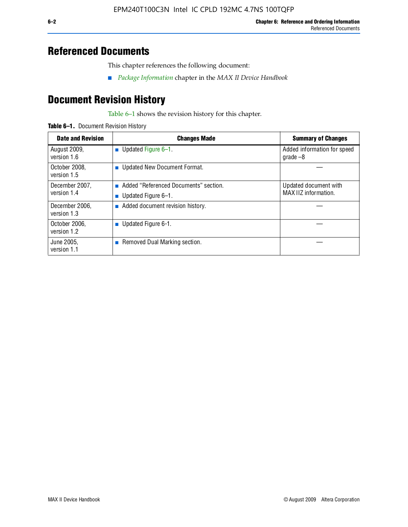### **Referenced Documents**

This chapter references the following document:

■ *[Package Information](http://www.altera.com/literature/hb/max2/max2_mii51007.pdf)* chapter in the *MAX II Device Handbook*

# **Document Revision History**

Table 6–1 shows the revision history for this chapter.

| Table 6-1. Document Revision History |
|--------------------------------------|
|                                      |

| <b>Date and Revision</b>      | <b>Changes Made</b>                                          | <b>Summary of Changes</b>                     |
|-------------------------------|--------------------------------------------------------------|-----------------------------------------------|
| August 2009,<br>version 1.6   | Updated Figure 6-1.<br>п                                     | Added information for speed<br>grade $-8$     |
| October 2008,<br>version 1.5  | Updated New Document Format.                                 |                                               |
| December 2007,<br>version 1.4 | Added "Referenced Documents" section.<br>Updated Figure 6-1. | Updated document with<br>MAX IIZ information. |
| December 2006,<br>version 1.3 | Added document revision history.                             |                                               |
| October 2006.<br>version 1.2  | Updated Figure 6-1.                                          |                                               |
| June 2005.<br>version 1.1     | $\blacksquare$ Removed Dual Marking section.                 |                                               |